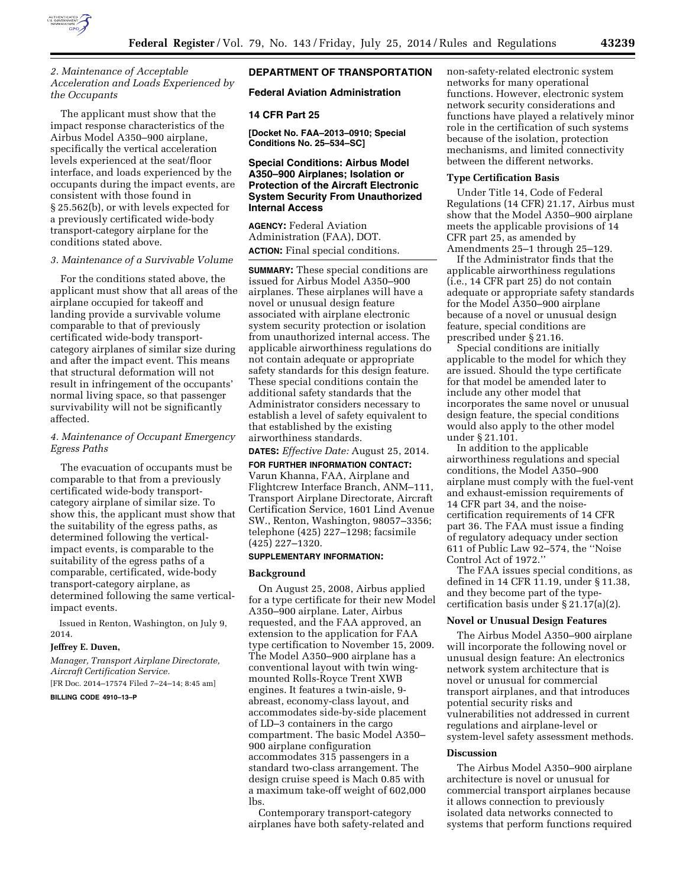

# *2. Maintenance of Acceptable Acceleration and Loads Experienced by the Occupants*

The applicant must show that the impact response characteristics of the Airbus Model A350–900 airplane, specifically the vertical acceleration levels experienced at the seat/floor interface, and loads experienced by the occupants during the impact events, are consistent with those found in § 25.562(b), or with levels expected for a previously certificated wide-body transport-category airplane for the conditions stated above.

### *3. Maintenance of a Survivable Volume*

For the conditions stated above, the applicant must show that all areas of the airplane occupied for takeoff and landing provide a survivable volume comparable to that of previously certificated wide-body transportcategory airplanes of similar size during and after the impact event. This means that structural deformation will not result in infringement of the occupants' normal living space, so that passenger survivability will not be significantly affected.

# *4. Maintenance of Occupant Emergency Egress Paths*

The evacuation of occupants must be comparable to that from a previously certificated wide-body transportcategory airplane of similar size. To show this, the applicant must show that the suitability of the egress paths, as determined following the verticalimpact events, is comparable to the suitability of the egress paths of a comparable, certificated, wide-body transport-category airplane, as determined following the same verticalimpact events.

Issued in Renton, Washington, on July 9, 2014.

# **Jeffrey E. Duven,**

*Manager, Transport Airplane Directorate, Aircraft Certification Service.* 

[FR Doc. 2014–17574 Filed 7–24–14; 8:45 am]

### **BILLING CODE 4910–13–P**

# **DEPARTMENT OF TRANSPORTATION**

### **Federal Aviation Administration**

# **14 CFR Part 25**

**[Docket No. FAA–2013–0910; Special Conditions No. 25–534–SC]** 

# **Special Conditions: Airbus Model A350–900 Airplanes; Isolation or Protection of the Aircraft Electronic System Security From Unauthorized Internal Access**

**AGENCY:** Federal Aviation Administration (FAA), DOT. **ACTION:** Final special conditions.

**SUMMARY:** These special conditions are issued for Airbus Model A350–900 airplanes. These airplanes will have a novel or unusual design feature associated with airplane electronic system security protection or isolation from unauthorized internal access. The applicable airworthiness regulations do not contain adequate or appropriate safety standards for this design feature. These special conditions contain the additional safety standards that the Administrator considers necessary to establish a level of safety equivalent to that established by the existing airworthiness standards.

**DATES:** *Effective Date:* August 25, 2014.

# **FOR FURTHER INFORMATION CONTACT:**

Varun Khanna, FAA, Airplane and Flightcrew Interface Branch, ANM–111, Transport Airplane Directorate, Aircraft Certification Service, 1601 Lind Avenue SW., Renton, Washington, 98057–3356; telephone (425) 227–1298; facsimile (425) 227–1320.

# **SUPPLEMENTARY INFORMATION:**

### **Background**

On August 25, 2008, Airbus applied for a type certificate for their new Model A350–900 airplane. Later, Airbus requested, and the FAA approved, an extension to the application for FAA type certification to November 15, 2009. The Model A350–900 airplane has a conventional layout with twin wingmounted Rolls-Royce Trent XWB engines. It features a twin-aisle, 9 abreast, economy-class layout, and accommodates side-by-side placement of LD–3 containers in the cargo compartment. The basic Model A350– 900 airplane configuration accommodates 315 passengers in a standard two-class arrangement. The design cruise speed is Mach 0.85 with a maximum take-off weight of 602,000 lbs.

Contemporary transport-category airplanes have both safety-related and non-safety-related electronic system networks for many operational functions. However, electronic system network security considerations and functions have played a relatively minor role in the certification of such systems because of the isolation, protection mechanisms, and limited connectivity between the different networks.

# **Type Certification Basis**

Under Title 14, Code of Federal Regulations (14 CFR) 21.17, Airbus must show that the Model A350–900 airplane meets the applicable provisions of 14 CFR part 25, as amended by Amendments 25–1 through 25–129.

If the Administrator finds that the applicable airworthiness regulations (i.e., 14 CFR part 25) do not contain adequate or appropriate safety standards for the Model A350–900 airplane because of a novel or unusual design feature, special conditions are prescribed under § 21.16.

Special conditions are initially applicable to the model for which they are issued. Should the type certificate for that model be amended later to include any other model that incorporates the same novel or unusual design feature, the special conditions would also apply to the other model under § 21.101.

In addition to the applicable airworthiness regulations and special conditions, the Model A350–900 airplane must comply with the fuel-vent and exhaust-emission requirements of 14 CFR part 34, and the noisecertification requirements of 14 CFR part 36. The FAA must issue a finding of regulatory adequacy under section 611 of Public Law 92–574, the ''Noise Control Act of 1972.''

The FAA issues special conditions, as defined in 14 CFR 11.19, under § 11.38, and they become part of the typecertification basis under § 21.17(a)(2).

# **Novel or Unusual Design Features**

The Airbus Model A350–900 airplane will incorporate the following novel or unusual design feature: An electronics network system architecture that is novel or unusual for commercial transport airplanes, and that introduces potential security risks and vulnerabilities not addressed in current regulations and airplane-level or system-level safety assessment methods.

#### **Discussion**

The Airbus Model A350–900 airplane architecture is novel or unusual for commercial transport airplanes because it allows connection to previously isolated data networks connected to systems that perform functions required